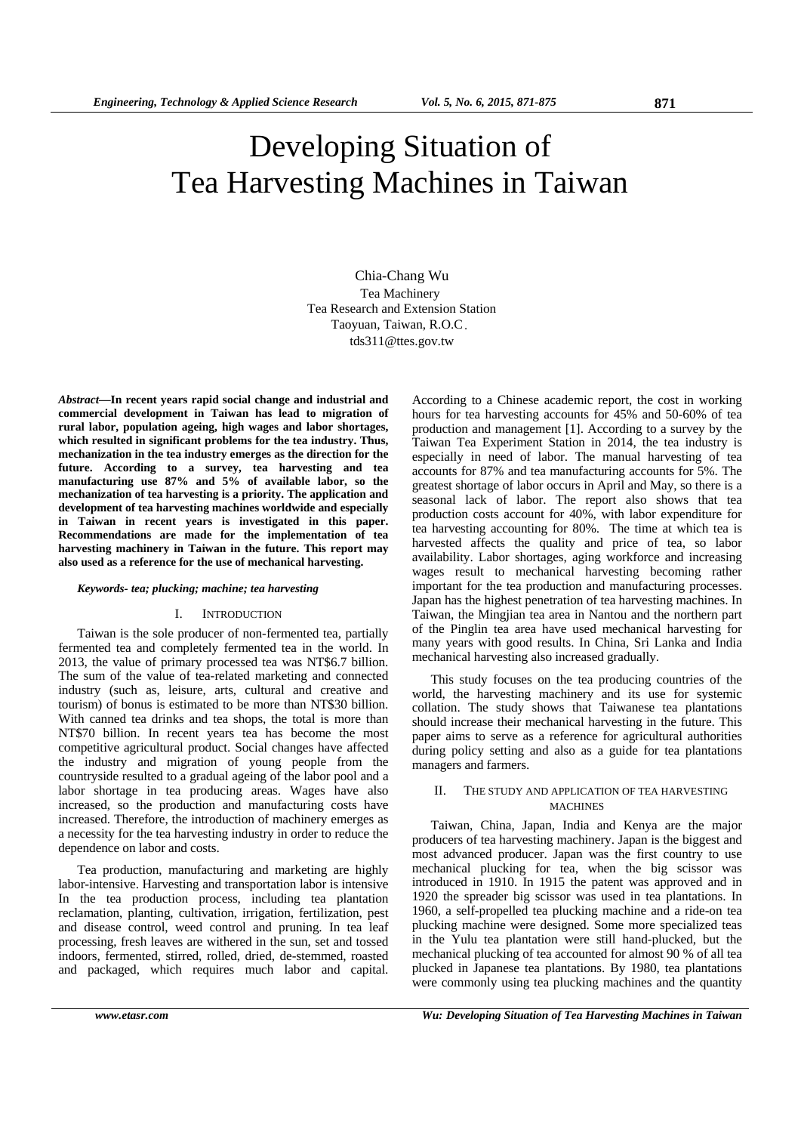# Developing Situation of Tea Harvesting Machines in Taiwan

 Chia-Chang Wu Tea Machinery Tea Research and Extension Station Taoyuan, Taiwan, R.O.C. tds311@ttes.gov.tw

*Abstract***—In recent years rapid social change and industrial and commercial development in Taiwan has lead to migration of rural labor, population ageing, high wages and labor shortages, which resulted in significant problems for the tea industry. Thus, mechanization in the tea industry emerges as the direction for the future. According to a survey, tea harvesting and tea manufacturing use 87% and 5% of available labor, so the mechanization of tea harvesting is a priority. The application and development of tea harvesting machines worldwide and especially in Taiwan in recent years is investigated in this paper. Recommendations are made for the implementation of tea harvesting machinery in Taiwan in the future. This report may also used as a reference for the use of mechanical harvesting.** 

#### *Keywords- tea; plucking; machine; tea harvesting*

### I. INTRODUCTION

Taiwan is the sole producer of non-fermented tea, partially fermented tea and completely fermented tea in the world. In 2013, the value of primary processed tea was NT\$6.7 billion. The sum of the value of tea-related marketing and connected industry (such as, leisure, arts, cultural and creative and tourism) of bonus is estimated to be more than NT\$30 billion. With canned tea drinks and tea shops, the total is more than NT\$70 billion. In recent years tea has become the most competitive agricultural product. Social changes have affected the industry and migration of young people from the countryside resulted to a gradual ageing of the labor pool and a labor shortage in tea producing areas. Wages have also increased, so the production and manufacturing costs have increased. Therefore, the introduction of machinery emerges as a necessity for the tea harvesting industry in order to reduce the dependence on labor and costs.

Tea production, manufacturing and marketing are highly labor-intensive. Harvesting and transportation labor is intensive In the tea production process, including tea plantation reclamation, planting, cultivation, irrigation, fertilization, pest and disease control, weed control and pruning. In tea leaf processing, fresh leaves are withered in the sun, set and tossed indoors, fermented, stirred, rolled, dried, de-stemmed, roasted and packaged, which requires much labor and capital.

According to a Chinese academic report, the cost in working hours for tea harvesting accounts for 45% and 50-60% of tea production and management [1]. According to a survey by the Taiwan Tea Experiment Station in 2014, the tea industry is especially in need of labor. The manual harvesting of tea accounts for 87% and tea manufacturing accounts for 5%. The greatest shortage of labor occurs in April and May, so there is a seasonal lack of labor. The report also shows that tea production costs account for 40%, with labor expenditure for tea harvesting accounting for 80%. The time at which tea is harvested affects the quality and price of tea, so labor availability. Labor shortages, aging workforce and increasing wages result to mechanical harvesting becoming rather important for the tea production and manufacturing processes. Japan has the highest penetration of tea harvesting machines. In Taiwan, the Mingjian tea area in Nantou and the northern part of the Pinglin tea area have used mechanical harvesting for many years with good results. In China, Sri Lanka and India mechanical harvesting also increased gradually.

This study focuses on the tea producing countries of the world, the harvesting machinery and its use for systemic collation. The study shows that Taiwanese tea plantations should increase their mechanical harvesting in the future. This paper aims to serve as a reference for agricultural authorities during policy setting and also as a guide for tea plantations managers and farmers.

# II. THE STUDY AND APPLICATION OF TEA HARVESTING **MACHINES**

Taiwan, China, Japan, India and Kenya are the major producers of tea harvesting machinery. Japan is the biggest and most advanced producer. Japan was the first country to use mechanical plucking for tea, when the big scissor was introduced in 1910. In 1915 the patent was approved and in 1920 the spreader big scissor was used in tea plantations. In 1960, a self-propelled tea plucking machine and a ride-on tea plucking machine were designed. Some more specialized teas in the Yulu tea plantation were still hand-plucked, but the mechanical plucking of tea accounted for almost 90 % of all tea plucked in Japanese tea plantations. By 1980, tea plantations were commonly using tea plucking machines and the quantity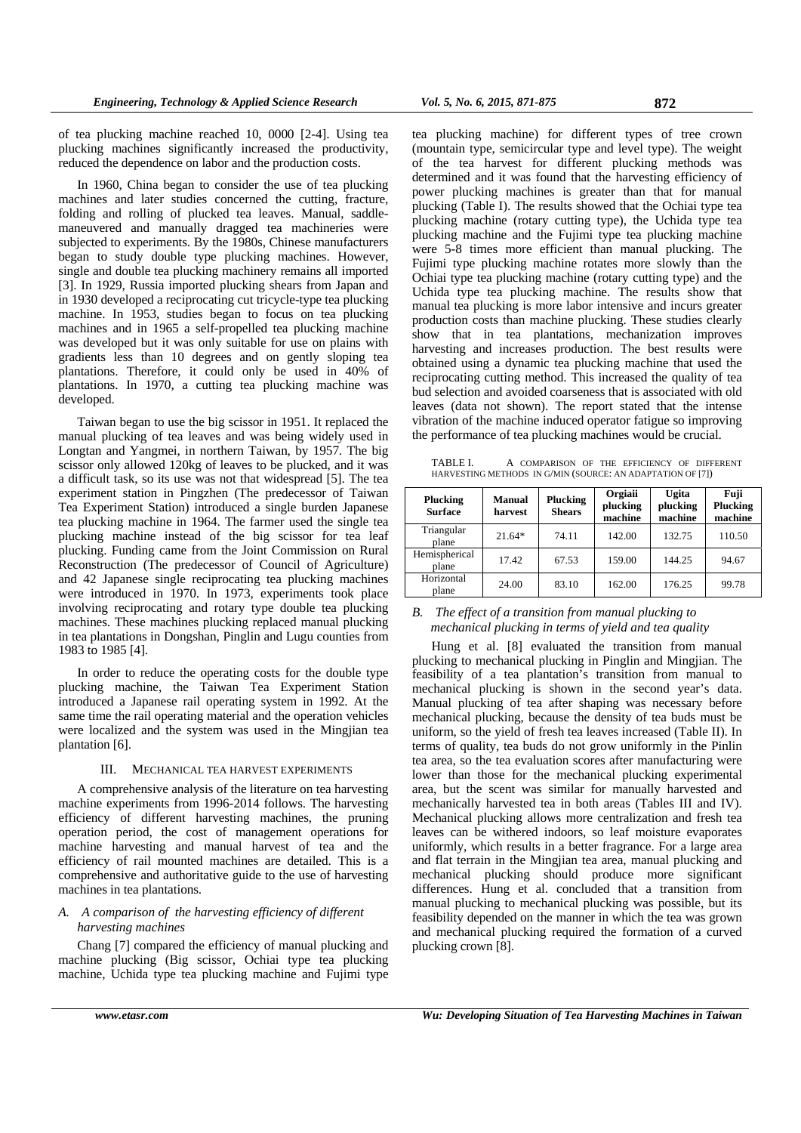of tea plucking machine reached 10, 0000 [2-4]. Using tea plucking machines significantly increased the productivity, reduced the dependence on labor and the production costs.

In 1960, China began to consider the use of tea plucking machines and later studies concerned the cutting, fracture, folding and rolling of plucked tea leaves. Manual, saddlemaneuvered and manually dragged tea machineries were subjected to experiments. By the 1980s, Chinese manufacturers began to study double type plucking machines. However, single and double tea plucking machinery remains all imported [3]. In 1929, Russia imported plucking shears from Japan and in 1930 developed a reciprocating cut tricycle-type tea plucking machine. In 1953, studies began to focus on tea plucking machines and in 1965 a self-propelled tea plucking machine was developed but it was only suitable for use on plains with gradients less than 10 degrees and on gently sloping tea plantations. Therefore, it could only be used in 40% of plantations. In 1970, a cutting tea plucking machine was developed.

Taiwan began to use the big scissor in 1951. It replaced the manual plucking of tea leaves and was being widely used in Longtan and Yangmei, in northern Taiwan, by 1957. The big scissor only allowed 120kg of leaves to be plucked, and it was a difficult task, so its use was not that widespread [5]. The tea experiment station in Pingzhen (The predecessor of Taiwan Tea Experiment Station) introduced a single burden Japanese tea plucking machine in 1964. The farmer used the single tea plucking machine instead of the big scissor for tea leaf plucking. Funding came from the Joint Commission on Rural Reconstruction (The predecessor of Council of Agriculture) and 42 Japanese single reciprocating tea plucking machines were introduced in 1970. In 1973, experiments took place involving reciprocating and rotary type double tea plucking machines. These machines plucking replaced manual plucking in tea plantations in Dongshan, Pinglin and Lugu counties from 1983 to 1985 [4].

In order to reduce the operating costs for the double type plucking machine, the Taiwan Tea Experiment Station introduced a Japanese rail operating system in 1992. At the same time the rail operating material and the operation vehicles were localized and the system was used in the Mingjian tea plantation [6].

#### III. MECHANICAL TEA HARVEST EXPERIMENTS

A comprehensive analysis of the literature on tea harvesting machine experiments from 1996-2014 follows. The harvesting efficiency of different harvesting machines, the pruning operation period, the cost of management operations for machine harvesting and manual harvest of tea and the efficiency of rail mounted machines are detailed. This is a comprehensive and authoritative guide to the use of harvesting machines in tea plantations.

# *A. A comparison of the harvesting efficiency of different harvesting machines*

Chang [7] compared the efficiency of manual plucking and machine plucking (Big scissor, Ochiai type tea plucking machine, Uchida type tea plucking machine and Fujimi type

tea plucking machine) for different types of tree crown (mountain type, semicircular type and level type). The weight of the tea harvest for different plucking methods was determined and it was found that the harvesting efficiency of power plucking machines is greater than that for manual plucking (Table I). The results showed that the Ochiai type tea plucking machine (rotary cutting type), the Uchida type tea plucking machine and the Fujimi type tea plucking machine were 5-8 times more efficient than manual plucking. The Fujimi type plucking machine rotates more slowly than the Ochiai type tea plucking machine (rotary cutting type) and the Uchida type tea plucking machine. The results show that manual tea plucking is more labor intensive and incurs greater production costs than machine plucking. These studies clearly show that in tea plantations, mechanization improves harvesting and increases production. The best results were obtained using a dynamic tea plucking machine that used the reciprocating cutting method. This increased the quality of tea bud selection and avoided coarseness that is associated with old leaves (data not shown). The report stated that the intense vibration of the machine induced operator fatigue so improving the performance of tea plucking machines would be crucial.

TABLE I. A COMPARISON OF THE EFFICIENCY OF DIFFERENT HARVESTING METHODS IN G/MIN (SOURCE: AN ADAPTATION OF [7])

| Plucking<br><b>Surface</b> | <b>Manual</b><br>harvest | Plucking<br><b>Shears</b> | Orgiaii<br>plucking<br>machine | <b>Ugita</b><br>plucking<br>machine | Fuji<br>Plucking<br>machine |
|----------------------------|--------------------------|---------------------------|--------------------------------|-------------------------------------|-----------------------------|
| Triangular<br>plane        | $21.64*$                 | 74.11                     | 142.00                         | 132.75                              | 110.50                      |
| Hemispherical<br>plane     | 17.42                    | 67.53                     | 159.00                         | 144.25                              | 94.67                       |
| Horizontal<br>plane        | 24.00                    | 83.10                     | 162.00                         | 176.25                              | 99.78                       |

# *B. The effect of a transition from manual plucking to mechanical plucking in terms of yield and tea quality*

Hung et al. [8] evaluated the transition from manual plucking to mechanical plucking in Pinglin and Mingjian. The feasibility of a tea plantation's transition from manual to mechanical plucking is shown in the second year's data. Manual plucking of tea after shaping was necessary before mechanical plucking, because the density of tea buds must be uniform, so the yield of fresh tea leaves increased (Table II). In terms of quality, tea buds do not grow uniformly in the Pinlin tea area, so the tea evaluation scores after manufacturing were lower than those for the mechanical plucking experimental area, but the scent was similar for manually harvested and mechanically harvested tea in both areas (Tables III and IV). Mechanical plucking allows more centralization and fresh tea leaves can be withered indoors, so leaf moisture evaporates uniformly, which results in a better fragrance. For a large area and flat terrain in the Mingjian tea area, manual plucking and mechanical plucking should produce more significant differences. Hung et al. concluded that a transition from manual plucking to mechanical plucking was possible, but its feasibility depended on the manner in which the tea was grown and mechanical plucking required the formation of a curved plucking crown [8].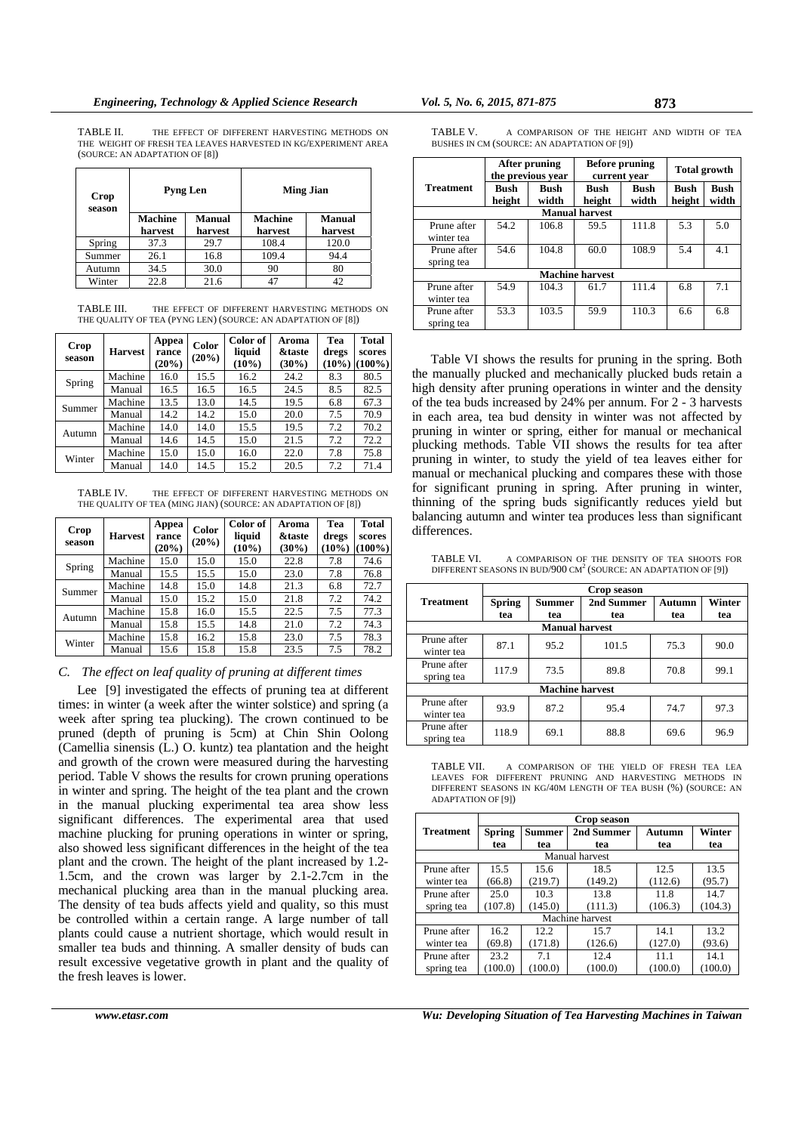TABLE II. THE EFFECT OF DIFFERENT HARVESTING METHODS ON THE WEIGHT OF FRESH TEA LEAVES HARVESTED IN KG/EXPERIMENT AREA (SOURCE: AN ADAPTATION OF [8])

| Crop<br>season |                           | <b>Pyng Len</b>          |                           | <b>Ming Jian</b>         |
|----------------|---------------------------|--------------------------|---------------------------|--------------------------|
|                | <b>Machine</b><br>harvest | <b>Manual</b><br>harvest | <b>Machine</b><br>harvest | <b>Manual</b><br>harvest |
| Spring         | 37.3                      | 29.7                     | 108.4                     | 120.0                    |
| Summer         | 26.1                      | 16.8                     | 109.4                     | 94.4                     |
| Autumn         | 34.5                      | 30.0                     | 90                        | 80                       |
| Winter         | 22.8                      | 21.6                     |                           | 42                       |

TABLE III. THE EFFECT OF DIFFERENT HARVESTING METHODS ON THE QUALITY OF TEA (PYNG LEN) (SOURCE: AN ADAPTATION OF [8])

| Crop<br>season | <b>Harvest</b> | Appea<br>rance<br>$(20\%)$ | Color<br>$(20\%)$ | Color of<br>liquid<br>$(10\%)$ | Aroma<br><b>&amp;taste</b><br>$(30\%)$ | Tea<br>dregs<br>$(10\%)$ | Total<br>scores<br>$(100\%)$ |
|----------------|----------------|----------------------------|-------------------|--------------------------------|----------------------------------------|--------------------------|------------------------------|
|                | Machine        | 16.0                       | 15.5              | 16.2                           | 24.2                                   | 8.3                      | 80.5                         |
| Spring         | Manual         | 16.5                       | 16.5              | 16.5                           | 24.5                                   | 8.5                      | 82.5                         |
| Summer         | Machine        | 13.5                       | 13.0              | 14.5                           | 19.5                                   | 6.8                      | 67.3                         |
|                | Manual         | 14.2                       | 14.2              | 15.0                           | 20.0                                   | 7.5                      | 70.9                         |
|                | Machine        | 14.0                       | 14.0              | 15.5                           | 19.5                                   | 7.2                      | 70.2                         |
| Autumn         | Manual         | 14.6                       | 14.5              | 15.0                           | 21.5                                   | 7.2                      | 72.2                         |
| Winter         | Machine        | 15.0                       | 15.0              | 16.0                           | 22.0                                   | 7.8                      | 75.8                         |
|                | Manual         | 14.0                       | 14.5              | 15.2                           | 20.5                                   | 7.2                      | 71.4                         |

TABLE IV. THE EFFECT OF DIFFERENT HARVESTING METHODS ON THE QUALITY OF TEA (MING JIAN) (SOURCE: AN ADAPTATION OF [8])

| Crop<br>season | <b>Harvest</b> | Appea<br>rance<br>$(20\%)$ | Color<br>$(20\%)$ | Color of<br>liquid<br>$(10\%)$ | Aroma<br><b>&amp;taste</b><br>$(30\%)$ | Tea<br>dregs<br>$(10\%)$ | <b>Total</b><br>scores<br>$(100\%)$ |
|----------------|----------------|----------------------------|-------------------|--------------------------------|----------------------------------------|--------------------------|-------------------------------------|
|                | Machine        | 15.0                       | 15.0              | 15.0                           | 22.8                                   | 7.8                      | 74.6                                |
| Spring         | Manual         | 15.5                       | 15.5              | 15.0                           | 23.0                                   | 7.8                      | 76.8                                |
| Summer         | Machine        | 14.8                       | 15.0              | 14.8                           | 21.3                                   | 6.8                      | 72.7                                |
|                | Manual         | 15.0                       | 15.2              | 15.0                           | 21.8                                   | 7.2                      | 74.2                                |
|                | Machine        | 15.8                       | 16.0              | 15.5                           | 22.5                                   | 7.5                      | 77.3                                |
| Autumn         | Manual         | 15.8                       | 15.5              | 14.8                           | 21.0                                   | 7.2                      | 74.3                                |
| Winter         | Machine        | 15.8                       | 16.2              | 15.8                           | 23.0                                   | 7.5                      | 78.3                                |
|                | Manual         | 15.6                       | 15.8              | 15.8                           | 23.5                                   | 7.5                      | 78.2                                |

#### *C. The effect on leaf quality of pruning at different times*

Lee [9] investigated the effects of pruning tea at different times: in winter (a week after the winter solstice) and spring (a week after spring tea plucking). The crown continued to be pruned (depth of pruning is 5cm) at Chin Shin Oolong (Camellia sinensis (L.) O. kuntz) tea plantation and the height and growth of the crown were measured during the harvesting period. Table V shows the results for crown pruning operations in winter and spring. The height of the tea plant and the crown in the manual plucking experimental tea area show less significant differences. The experimental area that used machine plucking for pruning operations in winter or spring, also showed less significant differences in the height of the tea plant and the crown. The height of the plant increased by 1.2- 1.5cm, and the crown was larger by 2.1-2.7cm in the mechanical plucking area than in the manual plucking area. The density of tea buds affects yield and quality, so this must be controlled within a certain range. A large number of tall plants could cause a nutrient shortage, which would result in smaller tea buds and thinning. A smaller density of buds can result excessive vegetative growth in plant and the quality of the fresh leaves is lower.

| TABLE V.                                    | A COMPARISON OF THE HEIGHT AND WIDTH OF TEA |  |  |  |  |
|---------------------------------------------|---------------------------------------------|--|--|--|--|
| BUSHES IN CM (SOURCE: AN ADAPTATION OF [9]) |                                             |  |  |  |  |

|                  | After pruning<br>the previous vear |               | <b>Before pruning</b><br>current year |                      | <b>Total growth</b> |                      |
|------------------|------------------------------------|---------------|---------------------------------------|----------------------|---------------------|----------------------|
| <b>Treatment</b> | Bush                               | Bush<br>width | Bush                                  | <b>Bush</b><br>width | Bush                | <b>Bush</b><br>width |
|                  | height                             |               | height                                |                      | height              |                      |
|                  |                                    |               | <b>Manual harvest</b>                 |                      |                     |                      |
| Prune after      | 54.2                               | 106.8         | 59.5                                  | 111.8                | 5.3                 | 5.0                  |
| winter tea       |                                    |               |                                       |                      |                     |                      |
| Prune after      | 54.6                               | 104.8         | 60.0                                  | 108.9                | 5.4                 | 4.1                  |
| spring tea       |                                    |               |                                       |                      |                     |                      |
|                  |                                    |               | <b>Machine harvest</b>                |                      |                     |                      |
| Prune after      | 54.9                               | 104.3         | 61.7                                  | 111.4                | 6.8                 | 7.1                  |
| winter tea       |                                    |               |                                       |                      |                     |                      |
| Prune after      | 53.3                               | 103.5         | 59.9                                  | 110.3                | 6.6                 | 6.8                  |
| spring tea       |                                    |               |                                       |                      |                     |                      |

Table VI shows the results for pruning in the spring. Both the manually plucked and mechanically plucked buds retain a high density after pruning operations in winter and the density of the tea buds increased by 24% per annum. For 2 - 3 harvests in each area, tea bud density in winter was not affected by pruning in winter or spring, either for manual or mechanical plucking methods. Table VII shows the results for tea after pruning in winter, to study the yield of tea leaves either for manual or mechanical plucking and compares these with those for significant pruning in spring. After pruning in winter, thinning of the spring buds significantly reduces yield but balancing autumn and winter tea produces less than significant differences.

TABLE VI. A COMPARISON OF THE DENSITY OF TEA SHOOTS FOR DIFFERENT SEASONS IN BUD/900  $CM^2$  (SOURCE: AN ADAPTATION OF [9])

|                           |                        |                       | <b>Crop season</b> |        |        |  |  |  |
|---------------------------|------------------------|-----------------------|--------------------|--------|--------|--|--|--|
| <b>Treatment</b>          | <b>Spring</b>          | Summer                | 2nd Summer         | Autumn | Winter |  |  |  |
|                           | tea                    | tea                   | tea                | tea    | tea    |  |  |  |
|                           |                        | <b>Manual harvest</b> |                    |        |        |  |  |  |
| Prune after<br>winter tea | 87.1                   | 95.2                  | 101.5              | 75.3   | 90.0   |  |  |  |
| Prune after<br>spring tea | 117.9                  | 73.5                  | 89.8               | 70.8   | 99.1   |  |  |  |
|                           | <b>Machine harvest</b> |                       |                    |        |        |  |  |  |
| Prune after<br>winter tea | 93.9                   | 87.2                  | 95.4               | 74.7   | 97.3   |  |  |  |
| Prune after<br>spring tea | 118.9                  | 69.1                  | 88.8               | 69.6   | 96.9   |  |  |  |



|                  | <b>Crop season</b> |               |                 |         |         |  |  |  |  |
|------------------|--------------------|---------------|-----------------|---------|---------|--|--|--|--|
| <b>Treatment</b> | <b>Spring</b>      | <b>Summer</b> | 2nd Summer      | Autumn  | Winter  |  |  |  |  |
|                  | tea                | tea           | tea             | tea     | tea     |  |  |  |  |
|                  | Manual harvest     |               |                 |         |         |  |  |  |  |
| Prune after      | 15.5               | 15.6          | 18.5            | 12.5    | 13.5    |  |  |  |  |
| winter tea       | (66.8)             | (219.7)       | (149.2)         | (112.6) | (95.7)  |  |  |  |  |
| Prune after      | 25.0               | 10.3          | 13.8            | 11.8    | 14.7    |  |  |  |  |
| spring tea       | (107.8)            | (145.0)       | (111.3)         | (106.3) | (104.3) |  |  |  |  |
|                  |                    |               | Machine harvest |         |         |  |  |  |  |
| Prune after      | 16.2               | 12.2          | 15.7            | 14.1    | 13.2    |  |  |  |  |
| winter tea       | (69.8)             | (171.8)       | (126.6)         | (127.0) | (93.6)  |  |  |  |  |
| Prune after      | 23.2               | 7.1           | 12.4            | 11.1    | 14.1    |  |  |  |  |
| spring tea       | (100.0)            | (100.0)       | (100.0)         | (100.0) | (100.0) |  |  |  |  |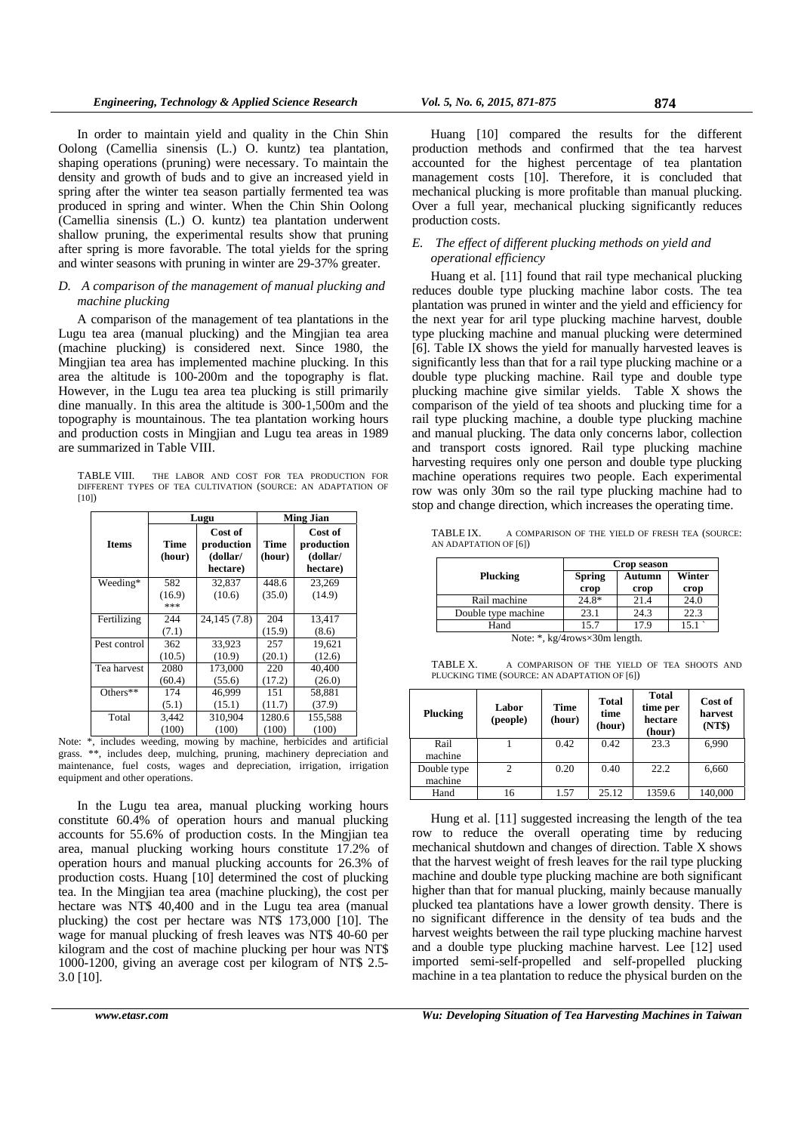In order to maintain yield and quality in the Chin Shin Oolong (Camellia sinensis (L.) O. kuntz) tea plantation, shaping operations (pruning) were necessary. To maintain the density and growth of buds and to give an increased yield in spring after the winter tea season partially fermented tea was produced in spring and winter. When the Chin Shin Oolong (Camellia sinensis (L.) O. kuntz) tea plantation underwent shallow pruning, the experimental results show that pruning after spring is more favorable. The total yields for the spring and winter seasons with pruning in winter are 29-37% greater.

# *D. A comparison of the management of manual plucking and machine plucking*

A comparison of the management of tea plantations in the Lugu tea area (manual plucking) and the Mingjian tea area (machine plucking) is considered next. Since 1980, the Mingjian tea area has implemented machine plucking. In this area the altitude is 100-200m and the topography is flat. However, in the Lugu tea area tea plucking is still primarily dine manually. In this area the altitude is 300-1,500m and the topography is mountainous. The tea plantation working hours and production costs in Mingjian and Lugu tea areas in 1989 are summarized in Table VIII.

TABLE VIII. THE LABOR AND COST FOR TEA PRODUCTION FOR DIFFERENT TYPES OF TEA CULTIVATION (SOURCE: AN ADAPTATION OF [10])

|                                       |                | Lugu                                          | <b>Ming Jian</b>  |                                               |  |
|---------------------------------------|----------------|-----------------------------------------------|-------------------|-----------------------------------------------|--|
| <b>Items</b>                          | Time<br>(hour) | Cost of<br>production<br>(dollar/<br>hectare) | Time<br>(hour)    | Cost of<br>production<br>(dollar/<br>hectare) |  |
| Weeding*                              | 582            | 32,837                                        | 448.6             | 23,269                                        |  |
|                                       | (16.9)<br>***  | (10.6)                                        | (35.0)            | (14.9)                                        |  |
| Fertilizing                           | 244            | 24,145 (7.8)                                  | 204               | 13,417                                        |  |
|                                       | (7.1)          |                                               | (15.9)            | (8.6)                                         |  |
| Pest control                          | 362            | 33,923                                        | 257               | 19,621                                        |  |
|                                       | (10.5)         | (10.9)                                        | (20.1)            | (12.6)                                        |  |
| Tea harvest                           | 2080           | 173,000                                       | 220               | 40,400                                        |  |
|                                       | (60.4)         | (55.6)                                        | (17.2)            | (26.0)                                        |  |
| Others**                              | 174            | 46.999                                        | 151               | 58,881                                        |  |
|                                       | (5.1)          | (15.1)                                        | (11.7)            | (37.9)                                        |  |
| Total                                 | 3,442          | 310,904                                       | 1280.6            | 155,588                                       |  |
| $\cdot$ $\cdot$ $\cdot$ $\cdot$<br>J, | (100)<br>т.    | (100)                                         | (100)<br>$\cdots$ | (100)<br>.<br>$\mathbf{I}$                    |  |

Note: \*, includes weeding, mowing by machine, herbicides and artificial grass. \*\*, includes deep, mulching, pruning, machinery depreciation and maintenance, fuel costs, wages and depreciation, irrigation, irrigation equipment and other operations.

In the Lugu tea area, manual plucking working hours constitute 60.4% of operation hours and manual plucking accounts for 55.6% of production costs. In the Mingjian tea area, manual plucking working hours constitute 17.2% of operation hours and manual plucking accounts for 26.3% of production costs. Huang [10] determined the cost of plucking tea. In the Mingjian tea area (machine plucking), the cost per hectare was NT\$ 40,400 and in the Lugu tea area (manual plucking) the cost per hectare was NT\$ 173,000 [10]. The wage for manual plucking of fresh leaves was NT\$ 40-60 per kilogram and the cost of machine plucking per hour was NT\$ 1000-1200, giving an average cost per kilogram of NT\$ 2.5- 3.0 [10].

Huang [10] compared the results for the different production methods and confirmed that the tea harvest accounted for the highest percentage of tea plantation management costs [10]. Therefore, it is concluded that mechanical plucking is more profitable than manual plucking. Over a full year, mechanical plucking significantly reduces production costs.

# *E. The effect of different plucking methods on yield and operational efficiency*

Huang et al. [11] found that rail type mechanical plucking reduces double type plucking machine labor costs. The tea plantation was pruned in winter and the yield and efficiency for the next year for aril type plucking machine harvest, double type plucking machine and manual plucking were determined [6]. Table IX shows the yield for manually harvested leaves is significantly less than that for a rail type plucking machine or a double type plucking machine. Rail type and double type plucking machine give similar yields. Table X shows the comparison of the yield of tea shoots and plucking time for a rail type plucking machine, a double type plucking machine and manual plucking. The data only concerns labor, collection and transport costs ignored. Rail type plucking machine harvesting requires only one person and double type plucking machine operations requires two people. Each experimental row was only 30m so the rail type plucking machine had to stop and change direction, which increases the operating time.

TABLE IX. A COMPARISON OF THE YIELD OF FRESH TEA (SOURCE: AN ADAPTATION OF [6])

| <b>Spring</b><br>Autumn<br>crop | Winter<br>crop |
|---------------------------------|----------------|
|                                 |                |
|                                 |                |
| 21.4                            | 24.0           |
| 24.3                            | 22.3           |
| 17.9                            | 15.1           |
|                                 | $\mathbf{H}$   |

Note: \*, kg/4rows×30m length.

TABLE X. A COMPARISON OF THE YIELD OF TEA SHOOTS AND PLUCKING TIME (SOURCE: AN ADAPTATION OF [6])

| Plucking               | Labor<br>(people) | Time<br>(hour) | Total<br>time<br>(hour) | Total<br>time per<br>hectare<br>(hour) | Cost of<br>harvest<br>(NT\$) |
|------------------------|-------------------|----------------|-------------------------|----------------------------------------|------------------------------|
| Rail<br>machine        |                   | 0.42           | 0.42                    | 23.3                                   | 6,990                        |
| Double type<br>machine | 2                 | 0.20           | 0.40                    | 22.2                                   | 6,660                        |
| Hand                   | 16                | 1.57           | 25.12                   | 1359.6                                 | 140,000                      |

Hung et al. [11] suggested increasing the length of the tea row to reduce the overall operating time by reducing mechanical shutdown and changes of direction. Table X shows that the harvest weight of fresh leaves for the rail type plucking machine and double type plucking machine are both significant higher than that for manual plucking, mainly because manually plucked tea plantations have a lower growth density. There is no significant difference in the density of tea buds and the harvest weights between the rail type plucking machine harvest and a double type plucking machine harvest. Lee [12] used imported semi-self-propelled and self-propelled plucking machine in a tea plantation to reduce the physical burden on the